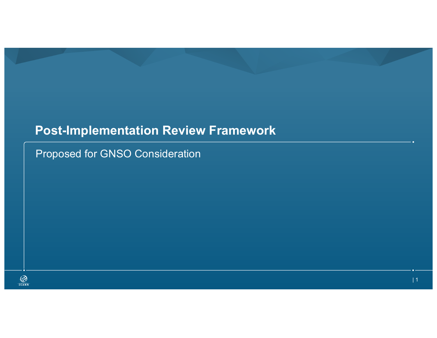## **Post-Implementation Review Framework**

Proposed for GNSO Consideration

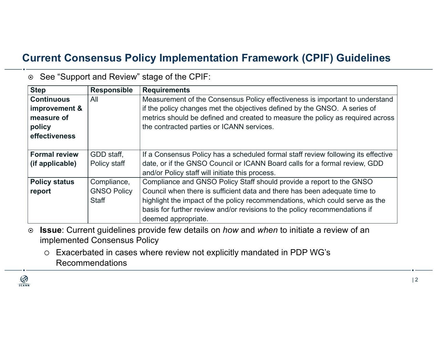## **Current Consensus Policy Implementation Framework (CPIF) Guidelines**

| <b>Step</b>          | <b>Responsible</b> | <b>Requirements</b>                                                               |
|----------------------|--------------------|-----------------------------------------------------------------------------------|
| <b>Continuous</b>    | All                | Measurement of the Consensus Policy effectiveness is important to understand      |
| improvement &        |                    | if the policy changes met the objectives defined by the GNSO. A series of         |
| measure of           |                    | metrics should be defined and created to measure the policy as required across    |
| policy               |                    | the contracted parties or ICANN services.                                         |
| effectiveness        |                    |                                                                                   |
|                      |                    |                                                                                   |
| <b>Formal review</b> | GDD staff,         | If a Consensus Policy has a scheduled formal staff review following its effective |
| (if applicable)      | Policy staff       | date, or if the GNSO Council or ICANN Board calls for a formal review, GDD        |
|                      |                    | and/or Policy staff will initiate this process.                                   |
| <b>Policy status</b> | Compliance,        | Compliance and GNSO Policy Staff should provide a report to the GNSO              |
| report               | <b>GNSO Policy</b> | Council when there is sufficient data and there has been adequate time to         |
|                      | <b>Staff</b>       | highlight the impact of the policy recommendations, which could serve as the      |
|                      |                    | basis for further review and/or revisions to the policy recommendations if        |
|                      |                    | deemed appropriate.                                                               |

¤ See "Support and Review" stage of the CPIF:

- ¤ **Issue**: Current guidelines provide few details on *how* and *when* to initiate a review of an implemented Consensus Policy
	- ¡ Exacerbated in cases where review not explicitly mandated in PDP WG's Recommendations

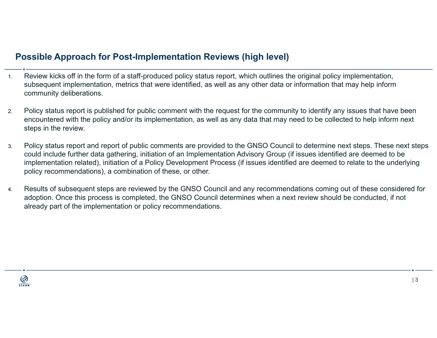## **Possible Approach for Post-Implementation Reviews (high level)**

- 1. Review kicks off in the form of a staff-produced policy status report, which outlines the original policy implementation, subsequent implementation, metrics that were identified, as well as any other data or information that may help inform community deliberations.
- 2. Policy status report is published for public comment with the request for the community to identify any issues that have been encountered with the policy and/or its implementation, as well as any data that may need to be collected to help inform next steps in the review.
- 3. Policy status report and report of public comments are provided to the GNSO Council to determine next steps. These next steps could include further data gathering, initiation of an Implementation Advisory Group (if issues identified are deemed to be implementation related), initiation of a Policy Development Process (if issues identified are deemed to relate to the underlying policy recommendations), a combination of these, or other.
- 4. Results of subsequent steps are reviewed by the GNSO Council and any recommendations coming out of these considered for adoption. Once this process is completed, the GNSO Council determines when a next review should be conducted, if not already part of the implementation or policy recommendations.